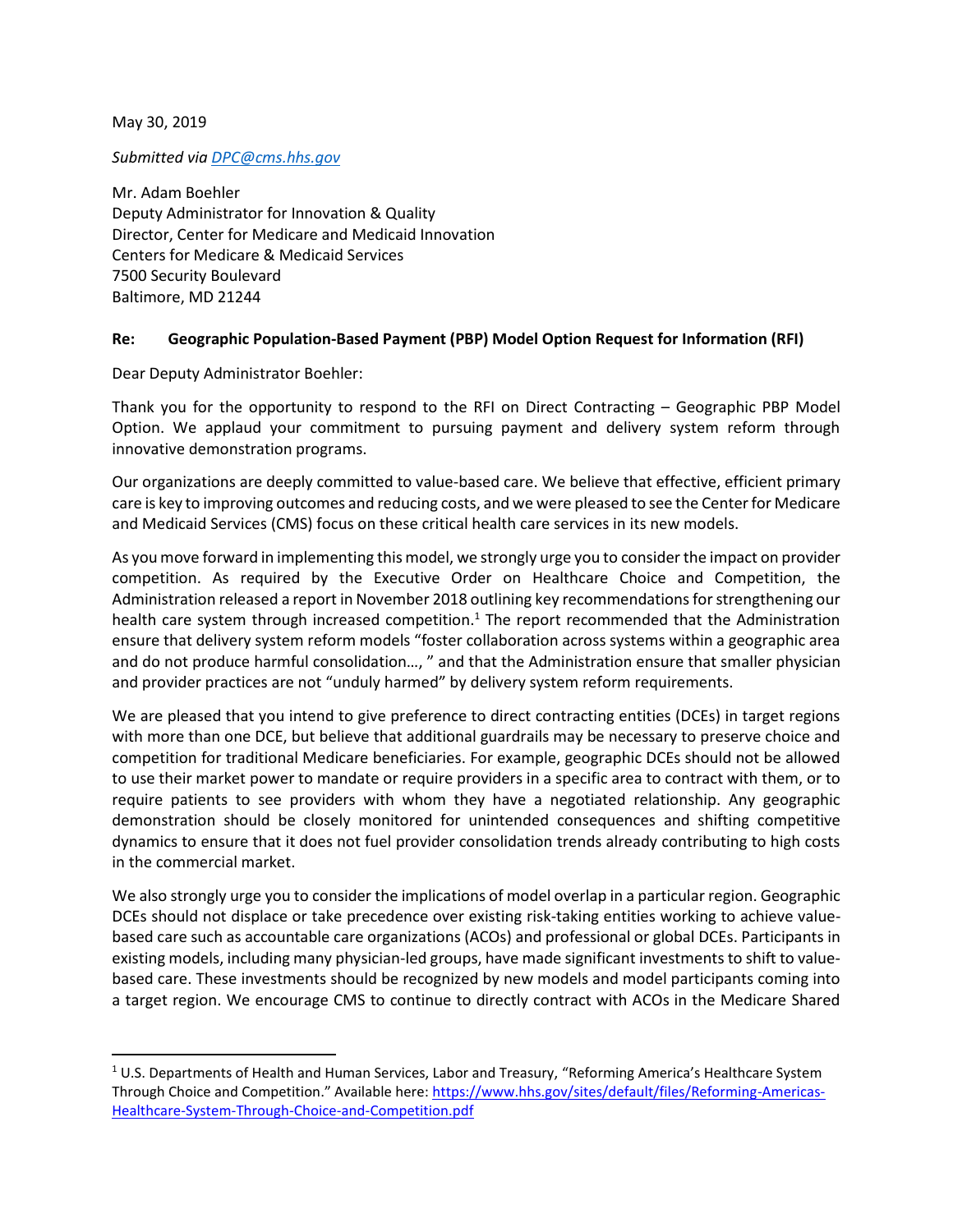May 30, 2019

 $\overline{\phantom{a}}$ 

*Submitted via [DPC@cms.hhs.gov](mailto:DPC@cms.hhs.gov)*

Mr. Adam Boehler Deputy Administrator for Innovation & Quality Director, Center for Medicare and Medicaid Innovation Centers for Medicare & Medicaid Services 7500 Security Boulevard Baltimore, MD 21244

## **Re: Geographic Population-Based Payment (PBP) Model Option Request for Information (RFI)**

Dear Deputy Administrator Boehler:

Thank you for the opportunity to respond to the RFI on Direct Contracting – Geographic PBP Model Option. We applaud your commitment to pursuing payment and delivery system reform through innovative demonstration programs.

Our organizations are deeply committed to value-based care. We believe that effective, efficient primary care is key to improving outcomes and reducing costs, and we were pleased to see the Center for Medicare and Medicaid Services (CMS) focus on these critical health care services in its new models.

As you move forward in implementing this model, we strongly urge you to consider the impact on provider competition. As required by the Executive Order on Healthcare Choice and Competition, the Administration released a report in November 2018 outlining key recommendations for strengthening our health care system through increased competition.<sup>1</sup> The report recommended that the Administration ensure that delivery system reform models "foster collaboration across systems within a geographic area and do not produce harmful consolidation…, " and that the Administration ensure that smaller physician and provider practices are not "unduly harmed" by delivery system reform requirements.

We are pleased that you intend to give preference to direct contracting entities (DCEs) in target regions with more than one DCE, but believe that additional guardrails may be necessary to preserve choice and competition for traditional Medicare beneficiaries. For example, geographic DCEs should not be allowed to use their market power to mandate or require providers in a specific area to contract with them, or to require patients to see providers with whom they have a negotiated relationship. Any geographic demonstration should be closely monitored for unintended consequences and shifting competitive dynamics to ensure that it does not fuel provider consolidation trends already contributing to high costs in the commercial market.

We also strongly urge you to consider the implications of model overlap in a particular region. Geographic DCEs should not displace or take precedence over existing risk-taking entities working to achieve valuebased care such as accountable care organizations (ACOs) and professional or global DCEs. Participants in existing models, including many physician-led groups, have made significant investments to shift to valuebased care. These investments should be recognized by new models and model participants coming into a target region. We encourage CMS to continue to directly contract with ACOs in the Medicare Shared

 $1$  U.S. Departments of Health and Human Services, Labor and Treasury, "Reforming America's Healthcare System Through Choice and Competition." Available here: [https://www.hhs.gov/sites/default/files/Reforming-Americas-](https://www.hhs.gov/sites/default/files/Reforming-Americas-Healthcare-System-Through-Choice-and-Competition.pdf)[Healthcare-System-Through-Choice-and-Competition.pdf](https://www.hhs.gov/sites/default/files/Reforming-Americas-Healthcare-System-Through-Choice-and-Competition.pdf)